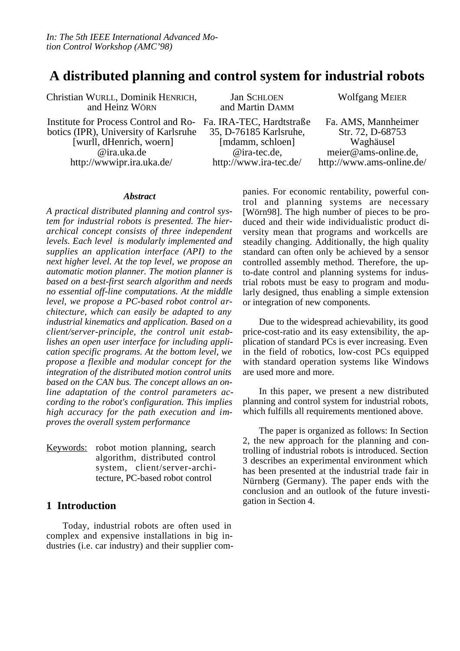# **A distributed planning and control system for industrial robots**

Christian WURLL, Dominik HENRICH, and Heinz WÖRN

Institute for Process Control and Robotics (IPR), University of Karlsruhe [wurll, dHenrich, woern] @ira.uka.de http://wwwipr.ira.uka.de/

Jan SCHLOEN and Martin DAMM Fa. IRA-TEC, Hardtstraße 35, D-76185 Karlsruhe, [mdamm, schloen] @ira-tec.de, http://www.ira-tec.de/

Wolfgang MEIER

Fa. AMS, Mannheimer Str. 72, D-68753 Waghäusel meier@ams-online.de, http://www.ams-online.de/

#### *Abstract*

*A practical distributed planning and control system for industrial robots is presented. The hierarchical concept consists of three independent levels. Each level is modularly implemented and supplies an application interface (API) to the next higher level. At the top level, we propose an automatic motion planner. The motion planner is based on a best-first search algorithm and needs no essential off-line computations. At the middle level, we propose a PC-based robot control architecture, which can easily be adapted to any industrial kinematics and application. Based on a client/server-principle, the control unit establishes an open user interface for including application specific programs. At the bottom level, we propose a flexible and modular concept for the integration of the distributed motion control units based on the CAN bus. The concept allows an online adaptation of the control parameters according to the robot's configuration. This implies high accuracy for the path execution and improves the overall system performance*

 Keywords: robot motion planning, search algorithm, distributed control system, client/server-architecture, PC-based robot control

## **1 Introduction**

Today, industrial robots are often used in complex and expensive installations in big industries (i.e. car industry) and their supplier companies. For economic rentability, powerful control and planning systems are necessary [Wörn98]. The high number of pieces to be produced and their wide individualistic product diversity mean that programs and workcells are steadily changing. Additionally, the high quality standard can often only be achieved by a sensor controlled assembly method. Therefore, the upto-date control and planning systems for industrial robots must be easy to program and modularly designed, thus enabling a simple extension or integration of new components.

Due to the widespread achievability, its good price-cost-ratio and its easy extensibility, the application of standard PCs is ever increasing. Even in the field of robotics, low-cost PCs equipped with standard operation systems like Windows are used more and more.

In this paper, we present a new distributed planning and control system for industrial robots, which fulfills all requirements mentioned above.

The paper is organized as follows: In Section 2, the new approach for the planning and controlling of industrial robots is introduced. Section 3 describes an experimental environment which has been presented at the industrial trade fair in Nürnberg (Germany). The paper ends with the conclusion and an outlook of the future investigation in Section 4.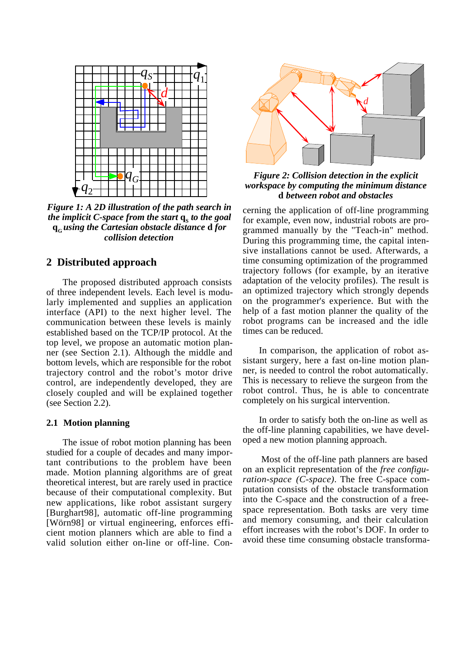

*Figure 1: A 2D illustration of the path search in the implicit C-space from the start*  $q_s$  *to the goal* **qG** *using the Cartesian obstacle distance* **d** *for collision detection*

## **2 Distributed approach**

The proposed distributed approach consists of three independent levels. Each level is modularly implemented and supplies an application interface (API) to the next higher level. The communication between these levels is mainly established based on the TCP/IP protocol. At the top level, we propose an automatic motion planner (see Section 2.1). Although the middle and bottom levels, which are responsible for the robot trajectory control and the robot's motor drive control, are independently developed, they are closely coupled and will be explained together (see Section 2.2).

### **2.1 Motion planning**

The issue of robot motion planning has been studied for a couple of decades and many important contributions to the problem have been made. Motion planning algorithms are of great theoretical interest, but are rarely used in practice because of their computational complexity. But new applications, like robot assistant surgery [Burghart98], automatic off-line programming [Wörn98] or virtual engineering, enforces efficient motion planners which are able to find a valid solution either on-line or off-line. Con-



*Figure 2: Collision detection in the explicit workspace by computing the minimum distance* **d** *between robot and obstacles*

cerning the application of off-line programming for example, even now, industrial robots are programmed manually by the "Teach-in" method. During this programming time, the capital intensive installations cannot be used. Afterwards, a time consuming optimization of the programmed trajectory follows (for example, by an iterative adaptation of the velocity profiles). The result is an optimized trajectory which strongly depends on the programmer's experience. But with the help of a fast motion planner the quality of the robot programs can be increased and the idle times can be reduced.

In comparison, the application of robot assistant surgery, here a fast on-line motion planner, is needed to control the robot automatically. This is necessary to relieve the surgeon from the robot control. Thus, he is able to concentrate completely on his surgical intervention.

In order to satisfy both the on-line as well as the off-line planning capabilities, we have developed a new motion planning approach.

 Most of the off-line path planners are based on an explicit representation of the *free configuration-space (C-space)*. The free C-space computation consists of the obstacle transformation into the C-space and the construction of a freespace representation. Both tasks are very time and memory consuming, and their calculation effort increases with the robot's DOF. In order to avoid these time consuming obstacle transforma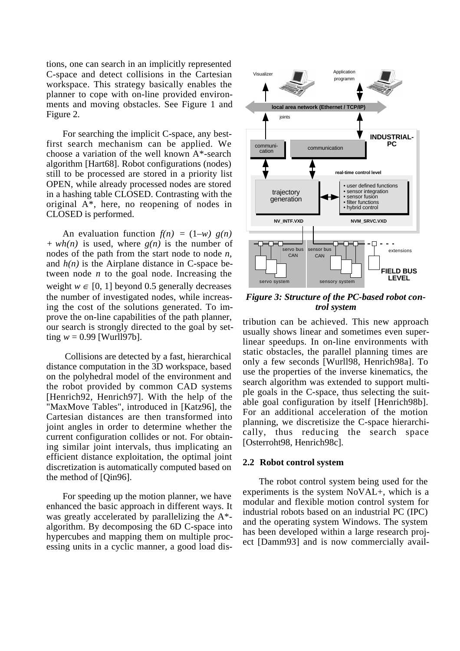tions, one can search in an implicitly represented C-space and detect collisions in the Cartesian workspace. This strategy basically enables the planner to cope with on-line provided environments and moving obstacles. See Figure 1 and Figure 2.

For searching the implicit C-space, any bestfirst search mechanism can be applied. We choose a variation of the well known A\*-search algorithm [Hart68]. Robot configurations (nodes) still to be processed are stored in a priority list OPEN, while already processed nodes are stored in a hashing table CLOSED. Contrasting with the original A\*, here, no reopening of nodes in CLOSED is performed.

An evaluation function  $f(n) = (1-w) g(n)$ *+ wh(n)* is used, where *g(n)* is the number of nodes of the path from the start node to node *n*, and  $h(n)$  is the Airplane distance in C-space between node *n* to the goal node. Increasing the weight  $w \in [0, 1]$  beyond 0.5 generally decreases the number of investigated nodes, while increasing the cost of the solutions generated. To improve the on-line capabilities of the path planner, our search is strongly directed to the goal by setting  $w = 0.99$  [Wurll97b].

 Collisions are detected by a fast, hierarchical distance computation in the 3D workspace, based on the polyhedral model of the environment and the robot provided by common CAD systems [Henrich92, Henrich97]. With the help of the "MaxMove Tables", introduced in [Katz96], the Cartesian distances are then transformed into joint angles in order to determine whether the current configuration collides or not. For obtaining similar joint intervals, thus implicating an efficient distance exploitation, the optimal joint discretization is automatically computed based on the method of [Qin96].

For speeding up the motion planner, we have enhanced the basic approach in different ways. It was greatly accelerated by parallelizing the A\* algorithm. By decomposing the 6D C-space into hypercubes and mapping them on multiple processing units in a cyclic manner, a good load dis-



*Figure 3: Structure of the PC-based robot control system*

tribution can be achieved. This new approach usually shows linear and sometimes even superlinear speedups. In on-line environments with static obstacles, the parallel planning times are only a few seconds [Wurll98, Henrich98a]. To use the properties of the inverse kinematics, the search algorithm was extended to support multiple goals in the C-space, thus selecting the suitable goal configuration by itself [Henrich98b]. For an additional acceleration of the motion planning, we discretisize the C-space hierarchically, thus reducing the search space [Osterroht98, Henrich98c].

#### **2.2 Robot control system**

The robot control system being used for the experiments is the system NoVAL+, which is a modular and flexible motion control system for industrial robots based on an industrial PC (IPC) and the operating system Windows. The system has been developed within a large research project [Damm93] and is now commercially avail-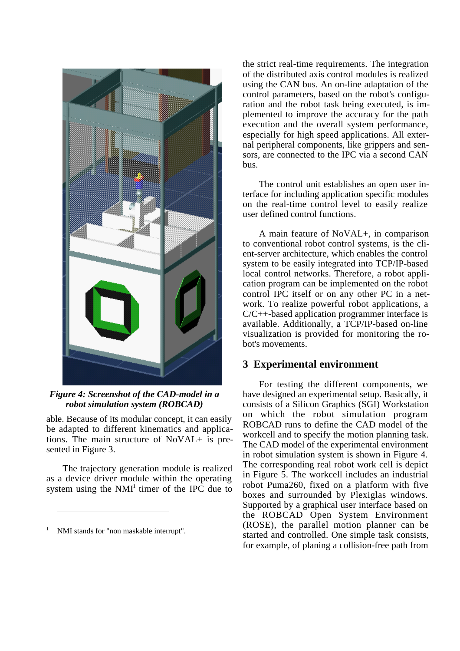

*Figure 4: Screenshot of the CAD-model in a robot simulation system (ROBCAD)*

able. Because of its modular concept, it can easily be adapted to different kinematics and applications. The main structure of NoVAL+ is presented in Figure 3.

The trajectory generation module is realized as a device driver module within the operating system using the  $NMI<sup>1</sup>$  timer of the IPC due to

 $\overline{a}$ 

the strict real-time requirements. The integration of the distributed axis control modules is realized using the CAN bus. An on-line adaptation of the control parameters, based on the robot's configuration and the robot task being executed, is implemented to improve the accuracy for the path execution and the overall system performance, especially for high speed applications. All external peripheral components, like grippers and sensors, are connected to the IPC via a second CAN bus.

The control unit establishes an open user interface for including application specific modules on the real-time control level to easily realize user defined control functions.

A main feature of NoVAL+, in comparison to conventional robot control systems, is the client-server architecture, which enables the control system to be easily integrated into TCP/IP-based local control networks. Therefore, a robot application program can be implemented on the robot control IPC itself or on any other PC in a network. To realize powerful robot applications, a C/C++-based application programmer interface is available. Additionally, a TCP/IP-based on-line visualization is provided for monitoring the robot's movements.

## **3 Experimental environment**

For testing the different components, we have designed an experimental setup. Basically, it consists of a Silicon Graphics (SGI) Workstation on which the robot simulation program ROBCAD runs to define the CAD model of the workcell and to specify the motion planning task. The CAD model of the experimental environment in robot simulation system is shown in Figure 4. The corresponding real robot work cell is depict in Figure 5. The workcell includes an industrial robot Puma260, fixed on a platform with five boxes and surrounded by Plexiglas windows. Supported by a graphical user interface based on the ROBCAD Open System Environment (ROSE), the parallel motion planner can be started and controlled. One simple task consists, for example, of planing a collision-free path from

<sup>1</sup> NMI stands for "non maskable interrupt".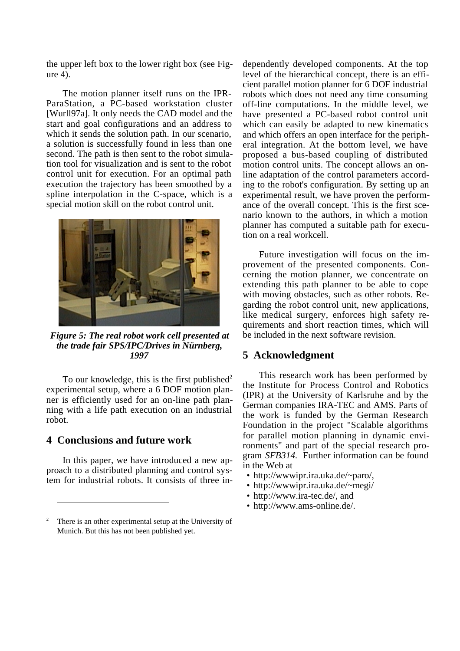the upper left box to the lower right box (see Figure 4).

The motion planner itself runs on the IPR-ParaStation, a PC-based workstation cluster [Wurll97a]. It only needs the CAD model and the start and goal configurations and an address to which it sends the solution path. In our scenario, a solution is successfully found in less than one second. The path is then sent to the robot simulation tool for visualization and is sent to the robot control unit for execution. For an optimal path execution the trajectory has been smoothed by a spline interpolation in the C-space, which is a special motion skill on the robot control unit.



*Figure 5: The real robot work cell presented at the trade fair SPS/IPC/Drives in Nürnberg, 1997*

To our knowledge, this is the first published<sup>2</sup> experimental setup, where a 6 DOF motion planner is efficiently used for an on-line path planning with a life path execution on an industrial robot.

## **4 Conclusions and future work**

 $\overline{a}$ 

In this paper, we have introduced a new approach to a distributed planning and control system for industrial robots. It consists of three in-

dependently developed components. At the top level of the hierarchical concept, there is an efficient parallel motion planner for 6 DOF industrial robots which does not need any time consuming off-line computations. In the middle level, we have presented a PC-based robot control unit which can easily be adapted to new kinematics and which offers an open interface for the peripheral integration. At the bottom level, we have proposed a bus-based coupling of distributed motion control units. The concept allows an online adaptation of the control parameters according to the robot's configuration. By setting up an experimental result, we have proven the performance of the overall concept. This is the first scenario known to the authors, in which a motion planner has computed a suitable path for execution on a real workcell.

Future investigation will focus on the improvement of the presented components. Concerning the motion planner, we concentrate on extending this path planner to be able to cope with moving obstacles, such as other robots. Regarding the robot control unit, new applications, like medical surgery, enforces high safety requirements and short reaction times, which will be included in the next software revision.

### **5 Acknowledgment**

This research work has been performed by the Institute for Process Control and Robotics (IPR) at the University of Karlsruhe and by the German companies IRA-TEC and AMS. Parts of the work is funded by the German Research Foundation in the project "Scalable algorithms for parallel motion planning in dynamic environments" and part of the special research program *SFB314.* Further information can be found in the Web at

- http://wwwipr.ira.uka.de/~paro/,
- http://wwwipr.ira.uka.de/~megi/
- http://www.ira-tec.de/, and
- http://www.ams-online.de/.

<sup>2</sup> There is an other experimental setup at the University of Munich. But this has not been published yet.